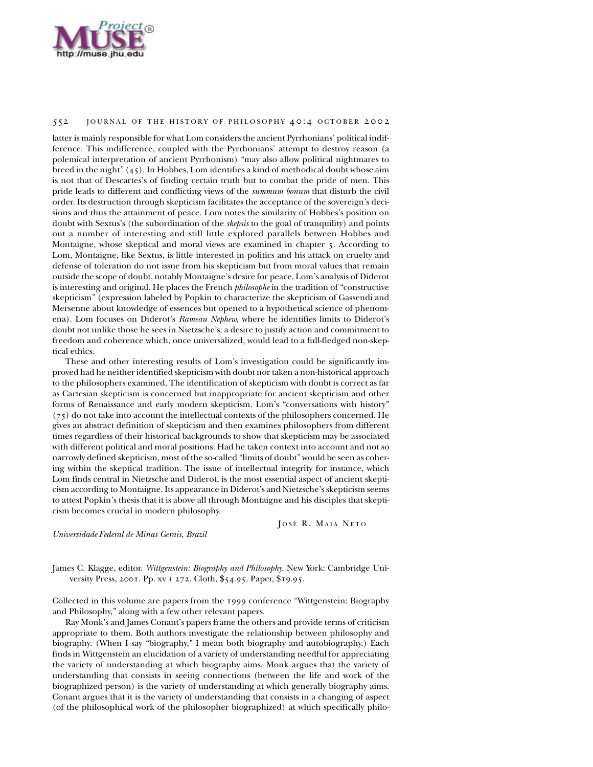

## 552 JOURNAL OF THE HISTORY OF PHILOSOPHY 40:4 OCTOBER 2002

latter is mainly responsible for what Lom considers the ancient Pyrrhonians' political indifference. This indifference, coupled with the Pyrrhonians' attempt to destroy reason (a polemical interpretation of ancient Pyrrhonism) "may also allow political nightmares to breed in the night"  $(45)$ . In Hobbes, Lom identifies a kind of methodical doubt whose aim is not that of Descartes's of finding certain truth but to combat the pride of men. This pride leads to different and conflicting views of the *summum bonum* that disturb the civil order. Its destruction through skepticism facilitates the acceptance of the sovereign's decisions and thus the attainment of peace. Lom notes the similarity of Hobbes's position on doubt with Sextus's (the subordination of the *skepsis* to the goal of tranquility) and points out a number of interesting and still little explored parallels between Hobbes and Montaigne, whose skeptical and moral views are examined in chapter 5. According to Lom, Montaigne, like Sextus, is little interested in politics and his attack on cruelty and defense of toleration do not issue from his skepticism but from moral values that remain outside the scope of doubt, notably Montaigne's desire for peace. Lom's analysis of Diderot is interesting and original. He places the French *philosophe* in the tradition of "constructive skepticism" (expression labeled by Popkin to characterize the skepticism of Gassendi and Mersenne about knowledge of essences but opened to a hypothetical science of phenomena). Lom focuses on Diderot's *Rameau Nephew*, where he identifies limits to Diderot's doubt not unlike those he sees in Nietzsche's: a desire to justify action and commitment to freedom and coherence which, once universalized, would lead to a full-fledged non-skeptical ethics.

These and other interesting results of Lom's investigation could be significantly improved had he neither identified skepticism with doubt nor taken a non-historical approach to the philosophers examined. The identification of skepticism with doubt is correct as far as Cartesian skepticism is concerned but inappropriate for ancient skepticism and other forms of Renaissance and early modern skepticism. Lom's "conversations with history"  $(75)$  do not take into account the intellectual contexts of the philosophers concerned. He gives an abstract definition of skepticism and then examines philosophers from different times regardless of their historical backgrounds to show that skepticism may be associated with different political and moral positions. Had he taken context into account and not so narrowly defined skepticism, most of the so-called "limits of doubt" would be seen as cohering within the skeptical tradition. The issue of intellectual integrity for instance, which Lom finds central in Nietzsche and Diderot, is the most essential aspect of ancient skepticism according to Montaigne. Its appearance in Diderot's and Nietzsche's skepticism seems to attest Popkin's thesis that it is above all through Montaigne and his disciples that skepticism becomes crucial in modern philosophy.

JOSÉ R. MAIA NETO

*Universidade Federal de Minas Gerais, Brazil*

James C. Klagge, editor. *Wittgenstein: Biography and Philosophy*. New York: Cambridge University Press, 2001. Pp. xv + 272. Cloth, \$54.95. Paper, \$19.95.

Collected in this volume are papers from the 1999 conference "Wittgenstein: Biography and Philosophy," along with a few other relevant papers.

Ray Monk's and James Conant's papers frame the others and provide terms of criticism appropriate to them. Both authors investigate the relationship between philosophy and biography. (When I say "biography," I mean both biography and autobiography.) Each finds in Wittgenstein an elucidation of a variety of understanding needful for appreciating the variety of understanding at which biography aims. Monk argues that the variety of understanding that consists in seeing connections (between the life and work of the biographized person) is the variety of understanding at which generally biography aims. Conant argues that it is the variety of understanding that consists in a changing of aspect (of the philosophical work of the philosopher biographized) at which specifically philo-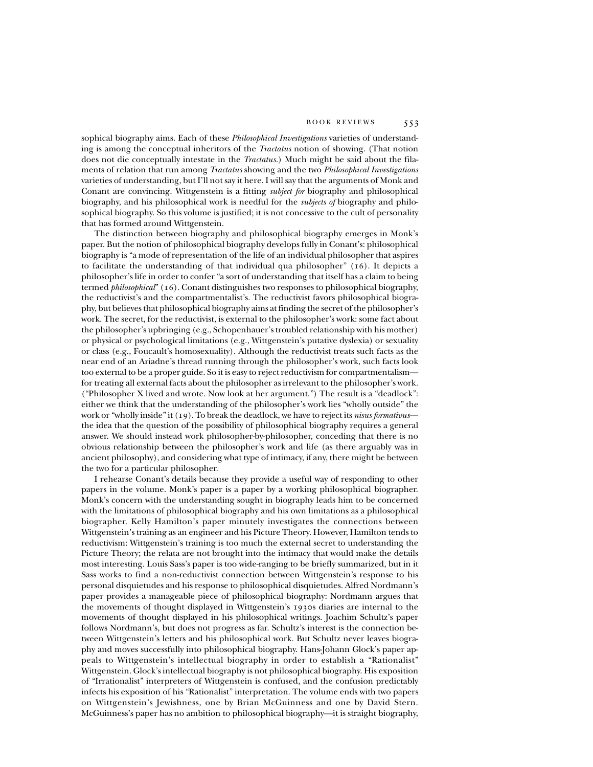## BOOK REVIEWS 553

sophical biography aims. Each of these *Philosophical Investigations* varieties of understanding is among the conceptual inheritors of the *Tractatus* notion of showing. (That notion does not die conceptually intestate in the *Tractatus*.) Much might be said about the filaments of relation that run among *Tractatus* showing and the two *Philosophical Investigations* varieties of understanding, but I'll not say it here. I will say that the arguments of Monk and Conant are convincing. Wittgenstein is a fitting *subject for* biography and philosophical biography, and his philosophical work is needful for the *subjects of* biography and philosophical biography. So this volume is justified; it is not concessive to the cult of personality that has formed around Wittgenstein.

The distinction between biography and philosophical biography emerges in Monk's paper. But the notion of philosophical biography develops fully in Conant's: philosophical biography is "a mode of representation of the life of an individual philosopher that aspires to facilitate the understanding of that individual qua philosopher" (16). It depicts a philosopher's life in order to confer "a sort of understanding that itself has a claim to being termed *philosophical*" (16). Conant distinguishes two responses to philosophical biography, the reductivist's and the compartmentalist's. The reductivist favors philosophical biography, but believes that philosophical biography aims at finding the secret of the philosopher's work. The secret, for the reductivist, is external to the philosopher's work: some fact about the philosopher's upbringing (e.g., Schopenhauer's troubled relationship with his mother) or physical or psychological limitations (e.g., Wittgenstein's putative dyslexia) or sexuality or class (e.g., Foucault's homosexuality). Although the reductivist treats such facts as the near end of an Ariadne's thread running through the philosopher's work, such facts look too external to be a proper guide. So it is easy to reject reductivism for compartmentalism for treating all external facts about the philosopher as irrelevant to the philosopher's work. ("Philosopher X lived and wrote. Now look at her argument.") The result is a "deadlock": either we think that the understanding of the philosopher's work lies "wholly outside" the work or "wholly inside" it (19). To break the deadlock, we have to reject its *nisus formativus* the idea that the question of the possibility of philosophical biography requires a general answer. We should instead work philosopher-by-philosopher, conceding that there is no obvious relationship between the philosopher's work and life (as there arguably was in ancient philosophy), and considering what type of intimacy, if any, there might be between the two for a particular philosopher.

I rehearse Conant's details because they provide a useful way of responding to other papers in the volume. Monk's paper is a paper by a working philosophical biographer. Monk's concern with the understanding sought in biography leads him to be concerned with the limitations of philosophical biography and his own limitations as a philosophical biographer. Kelly Hamilton's paper minutely investigates the connections between Wittgenstein's training as an engineer and his Picture Theory. However, Hamilton tends to reductivism: Wittgenstein's training is too much the external secret to understanding the Picture Theory; the relata are not brought into the intimacy that would make the details most interesting. Louis Sass's paper is too wide-ranging to be briefly summarized, but in it Sass works to find a non-reductivist connection between Wittgenstein's response to his personal disquietudes and his response to philosophical disquietudes. Alfred Nordmann's paper provides a manageable piece of philosophical biography: Nordmann argues that the movements of thought displayed in Wittgenstein's 1930s diaries are internal to the movements of thought displayed in his philosophical writings. Joachim Schultz's paper follows Nordmann's, but does not progress as far. Schultz's interest is the connection between Wittgenstein's letters and his philosophical work. But Schultz never leaves biography and moves successfully into philosophical biography. Hans-Johann Glock's paper appeals to Wittgenstein's intellectual biography in order to establish a "Rationalist" Wittgenstein. Glock's intellectual biography is not philosophical biography. His exposition of "Irrationalist" interpreters of Wittgenstein is confused, and the confusion predictably infects his exposition of his "Rationalist" interpretation. The volume ends with two papers on Wittgenstein's Jewishness, one by Brian McGuinness and one by David Stern. McGuinness's paper has no ambition to philosophical biography—it is straight biography,